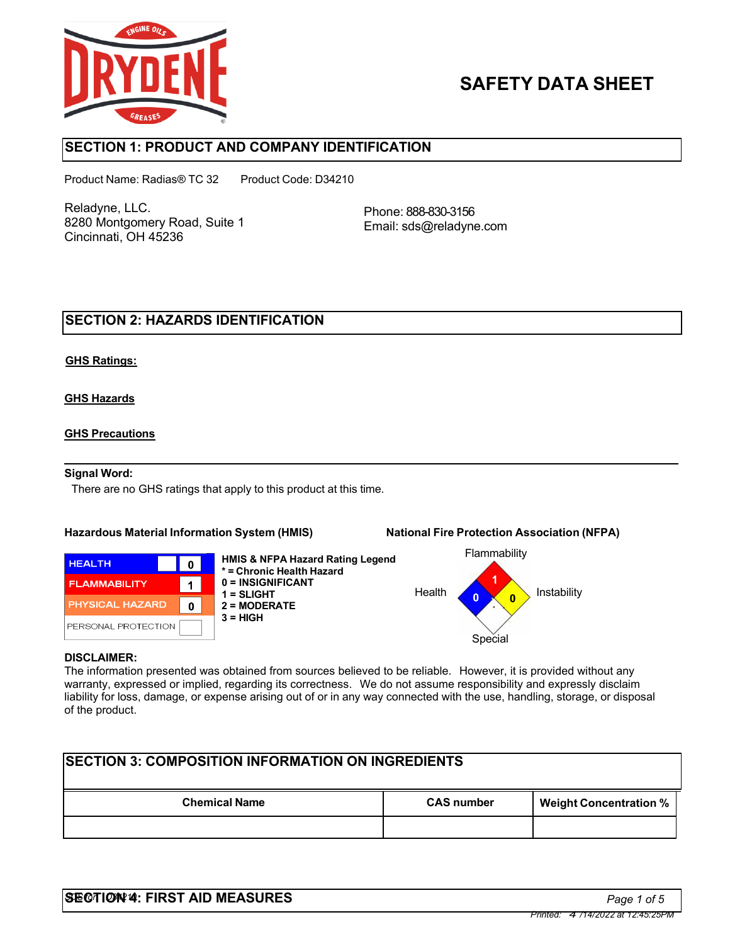

# **SAFETY DATA SHEET**

## **SECTION 1: PRODUCT AND COMPANY IDENTIFICATION**

Product Name: Radias® TC 32 Product Code: D34210

Reladyne, LLC. 8280 Montgomery Road, Suite 1 Cincinnati, OH 45236

Phone: 888-830-3156 Email: sds@reladyne.com

## **SECTION 2: HAZARDS IDENTIFICATION**

#### **GHS Ratings:**

#### **GHS Hazards**

#### **GHS Precautions**

#### **Signal Word:**

There are no GHS ratings that apply to this product at this time.

#### **Hazardous Material Information System (HMIS) National Fire Protection Association (NFPA)**



**HMIS & NFPA Hazard Rating Legend \* = Chronic Health Hazard 0 = INSIGNIFICANT 1 = SLIGHT 2 = MODERATE 3 = HIGH**



#### **DISCLAIMER:**

The information presented was obtained from sources believed to be reliable. However, it is provided without any warranty, expressed or implied, regarding its correctness. We do not assume responsibility and expressly disclaim liability for loss, damage, or expense arising out of or in any way connected with the use, handling, storage, or disposal of the product.

| <b>ISECTION 3: COMPOSITION INFORMATION ON INGREDIENTS</b> |                   |                               |  |
|-----------------------------------------------------------|-------------------|-------------------------------|--|
| <b>Chemical Name</b>                                      | <b>CAS number</b> | <b>Weight Concentration %</b> |  |
|                                                           |                   |                               |  |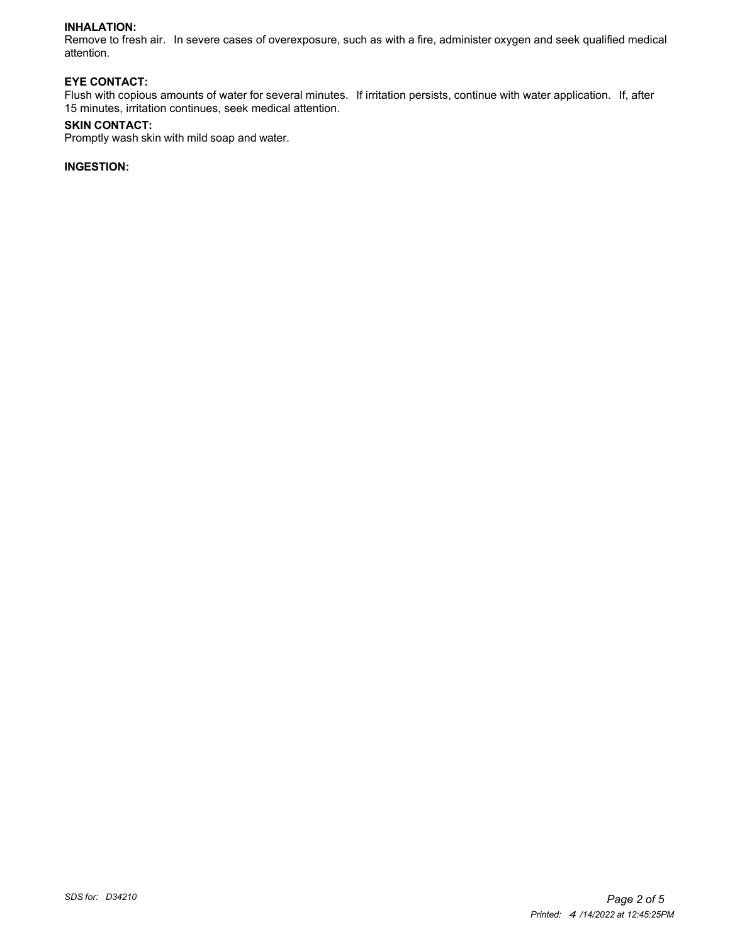#### **INHALATION:**

Remove to fresh air. In severe cases of overexposure, such as with a fire, administer oxygen and seek qualified medical attention.

#### **EYE CONTACT:**

Flush with copious amounts of water for several minutes. If irritation persists, continue with water application. If, after 15 minutes, irritation continues, seek medical attention.

#### **SKIN CONTACT:**

Promptly wash skin with mild soap and water.

### **INGESTION:**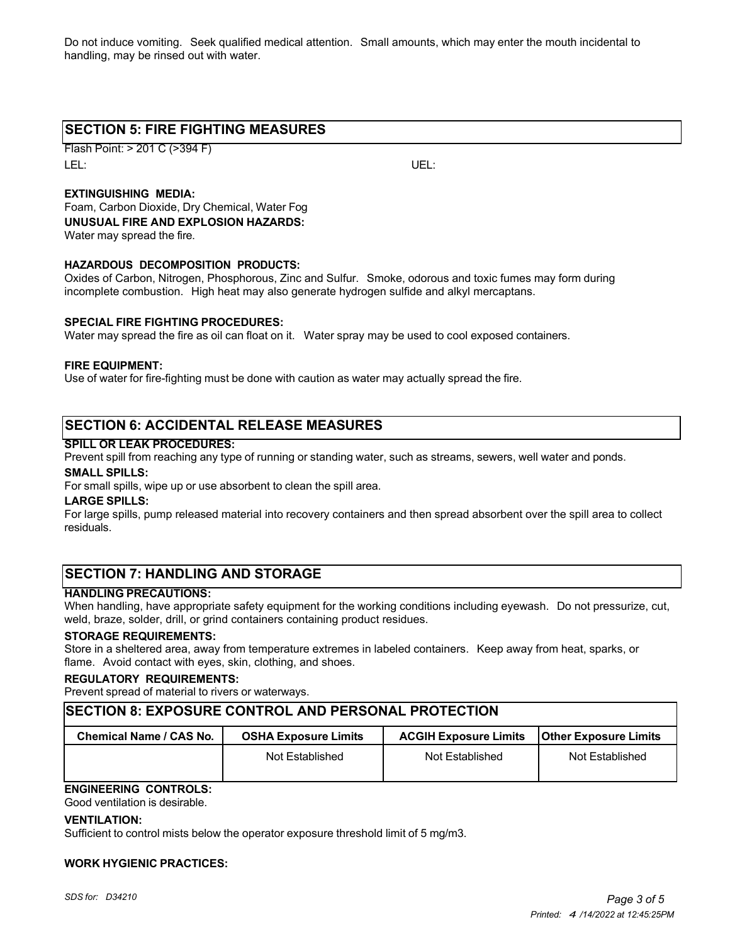Do not induce vomiting. Seek qualified medical attention. Small amounts, which may enter the mouth incidental to handling, may be rinsed out with water.

## **SECTION 5: FIRE FIGHTING MEASURES**

Flash Point: > 201 C (>394 F) LEL: UEL:

### **EXTINGUISHING MEDIA:**

Foam, Carbon Dioxide, Dry Chemical, Water Fog **UNUSUAL FIRE AND EXPLOSION HAZARDS:** Water may spread the fire.

#### **HAZARDOUS DECOMPOSITION PRODUCTS:**

Oxides of Carbon, Nitrogen, Phosphorous, Zinc and Sulfur. Smoke, odorous and toxic fumes may form during incomplete combustion. High heat may also generate hydrogen sulfide and alkyl mercaptans.

#### **SPECIAL FIRE FIGHTING PROCEDURES:**

Water may spread the fire as oil can float on it. Water spray may be used to cool exposed containers.

#### **FIRE EQUIPMENT:**

Use of water for fire-fighting must be done with caution as water may actually spread the fire.

## **SECTION 6: ACCIDENTAL RELEASE MEASURES**

#### **SPILL OR LEAK PROCEDURES:**

Prevent spill from reaching any type of running or standing water, such as streams, sewers, well water and ponds.

#### **SMALL SPILLS:**

For small spills, wipe up or use absorbent to clean the spill area.

#### **LARGE SPILLS:**

For large spills, pump released material into recovery containers and then spread absorbent over the spill area to collect residuals.

## **SECTION 7: HANDLING AND STORAGE**

#### **HANDLING PRECAUTIONS:**

When handling, have appropriate safety equipment for the working conditions including eyewash. Do not pressurize, cut, weld, braze, solder, drill, or grind containers containing product residues.

#### **STORAGE REQUIREMENTS:**

Store in a sheltered area, away from temperature extremes in labeled containers. Keep away from heat, sparks, or flame. Avoid contact with eyes, skin, clothing, and shoes.

#### **REGULATORY REQUIREMENTS:**

Prevent spread of material to rivers or waterways.

### **SECTION 8: EXPOSURE CONTROL AND PERSONAL PROTECTION**

| Chemical Name / CAS No. | <b>OSHA Exposure Limits</b> | <b>ACGIH Exposure Limits</b> | <b>Other Exposure Limits</b> |
|-------------------------|-----------------------------|------------------------------|------------------------------|
|                         | Not Established             | Not Established              | Not Established              |

## **ENGINEERING CONTROLS:**

Good ventilation is desirable.

#### **VENTILATION:**

Sufficient to control mists below the operator exposure threshold limit of 5 mg/m3.

#### **WORK HYGIENIC PRACTICES:**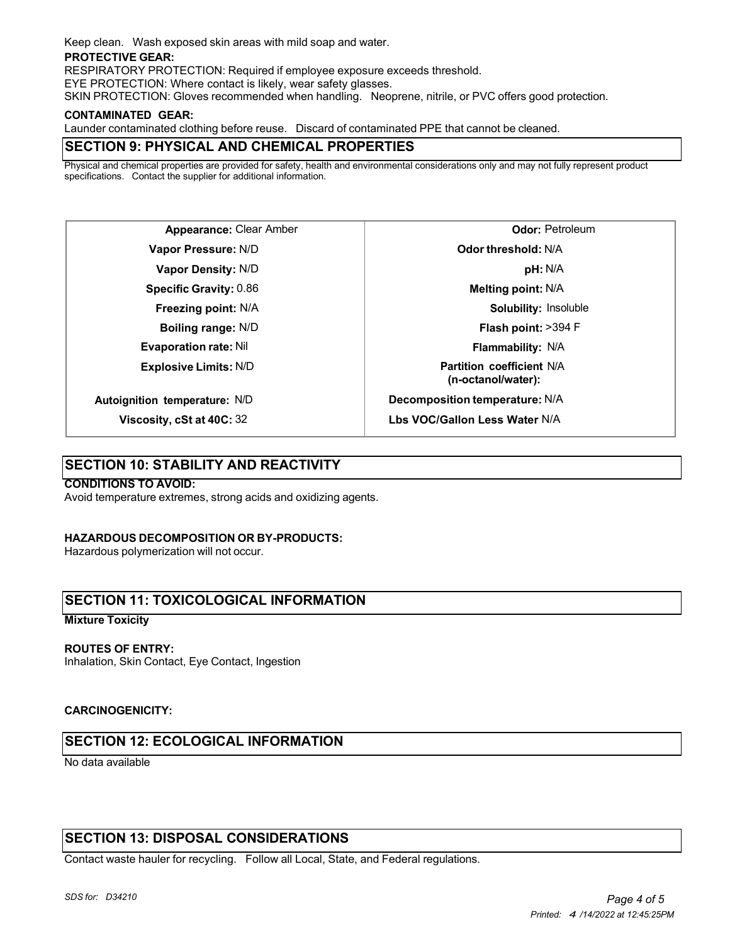Keep clean. Wash exposed skin areas with mild soap and water.

#### **PROTECTIVE GEAR:**

RESPIRATORY PROTECTION: Required if employee exposure exceeds threshold.

EYE PROTECTION: Where contact is likely, wear safety glasses.

SKIN PROTECTION: Gloves recommended when handling. Neoprene, nitrile, or PVC offers good protection.

#### **CONTAMINATED GEAR:**

Launder contaminated clothing before reuse. Discard of contaminated PPE that cannot be cleaned.

## **SECTION 9: PHYSICAL AND CHEMICAL PROPERTIES**

Physical and chemical properties are provided for safety, health and environmental considerations only and may not fully represent product specifications. Contact the supplier for additional information.

**Appearance:** Clear Amber **Vapor Pressure:** N/D **Vapor Density:** N/D **Specific Gravity:** 0.86 **Freezing point:** N/A **Boiling range:** N/D **Evaporation rate:** Nil **Explosive Limits:** N/D **Autoignition temperature:** N/D

**Odor:** Petroleum **Odor threshold:** N/A **pH:** N/A **Melting point:** N/A **Solubility:** Insoluble **Flash point:** >394 F **Flammability:** N/A **Partition coefficient** N/A **(n-octanol/water): Decomposition temperature:** N/A **Lbs VOC/Gallon Less Water** N/A

## **SECTION 10: STABILITY AND REACTIVITY**

**Viscosity, cSt at 40C:** 32

#### **CONDITIONS TO AVOID:**

Avoid temperature extremes, strong acids and oxidizing agents.

#### **HAZARDOUS DECOMPOSITION OR BY-PRODUCTS:**

Hazardous polymerization will not occur.

## **SECTION 11: TOXICOLOGICAL INFORMATION**

#### **Mixture Toxicity**

#### **ROUTES OF ENTRY:**

Inhalation, Skin Contact, Eye Contact, Ingestion

#### **CARCINOGENICITY:**

## **SECTION 12: ECOLOGICAL INFORMATION**

No data available

## **SECTION 13: DISPOSAL CONSIDERATIONS**

Contact waste hauler for recycling. Follow all Local, State, and Federal regulations.